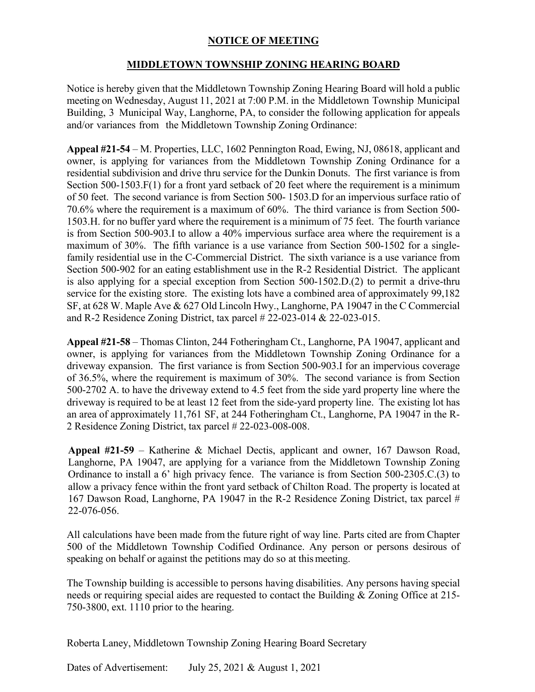## **NOTICE OF MEETING**

## **MIDDLETOWN TOWNSHIP ZONING HEARING BOARD**

Notice is hereby given that the Middletown Township Zoning Hearing Board will hold a public meeting on Wednesday, August 11, 2021 at 7:00 P.M. in the Middletown Township Municipal Building, 3 Municipal Way, Langhorne, PA, to consider the following application for appeals and/or variances from the Middletown Township Zoning Ordinance:

**Appeal #21-54** – M. Properties, LLC, 1602 Pennington Road, Ewing, NJ, 08618, applicant and owner, is applying for variances from the Middletown Township Zoning Ordinance for a residential subdivision and drive thru service for the Dunkin Donuts. The first variance is from Section 500-1503.F(1) for a front yard setback of 20 feet where the requirement is a minimum of 50 feet. The second variance is from Section 500- 1503.D for an impervious surface ratio of 70.6% where the requirement is a maximum of 60%. The third variance is from Section 500- 1503.H. for no buffer yard where the requirement is a minimum of 75 feet. The fourth variance is from Section 500-903.I to allow a 40% impervious surface area where the requirement is a maximum of 30%. The fifth variance is a use variance from Section 500-1502 for a singlefamily residential use in the C-Commercial District. The sixth variance is a use variance from Section 500-902 for an eating establishment use in the R-2 Residential District. The applicant is also applying for a special exception from Section 500-1502.D.(2) to permit a drive-thru service for the existing store. The existing lots have a combined area of approximately 99,182 SF, at 628 W. Maple Ave & 627 Old Lincoln Hwy., Langhorne, PA 19047 in the C Commercial and R-2 Residence Zoning District, tax parcel # 22-023-014 & 22-023-015.

**Appeal #21-58** – Thomas Clinton, 244 Fotheringham Ct., Langhorne, PA 19047, applicant and owner, is applying for variances from the Middletown Township Zoning Ordinance for a driveway expansion. The first variance is from Section 500-903.I for an impervious coverage of 36.5%, where the requirement is maximum of 30%. The second variance is from Section 500-2702 A. to have the driveway extend to 4.5 feet from the side yard property line where the driveway is required to be at least 12 feet from the side-yard property line. The existing lot has an area of approximately 11,761 SF, at 244 Fotheringham Ct., Langhorne, PA 19047 in the R-2 Residence Zoning District, tax parcel # 22-023-008-008.

**Appeal #21-59** – Katherine & Michael Dectis, applicant and owner, 167 Dawson Road, Langhorne, PA 19047, are applying for a variance from the Middletown Township Zoning Ordinance to install a 6' high privacy fence. The variance is from Section 500-2305.C.(3) to allow a privacy fence within the front yard setback of Chilton Road. The property is located at 167 Dawson Road, Langhorne, PA 19047 in the R-2 Residence Zoning District, tax parcel # 22-076-056.

All calculations have been made from the future right of way line. Parts cited are from Chapter 500 of the Middletown Township Codified Ordinance. Any person or persons desirous of speaking on behalf or against the petitions may do so at this meeting.

The Township building is accessible to persons having disabilities. Any persons having special needs or requiring special aides are requested to contact the Building & Zoning Office at 215- 750-3800, ext. 1110 prior to the hearing.

Roberta Laney, Middletown Township Zoning Hearing Board Secretary

Dates of Advertisement: July 25, 2021 & August 1, 2021